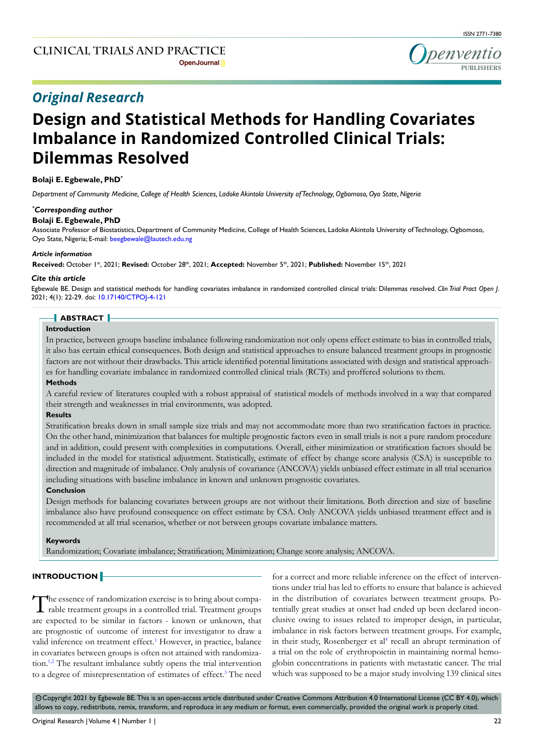# **Design and Statistical Methods for Handling Covariates Imbalance in Randomized Controlled Clinical Trials: Dilemmas Resolved**

# **Bolaji E. Egbewale, PhD\***

*Department of Community Medicine, College of Health Sciences, Ladoke Akintola University of Technology, Ogbomoso, Oyo State, Nigeria*

## *\* Corresponding author*

### **Bolaji E. Egbewale, PhD**

Associate Professor of Biostatistics, Department of Community Medicine, College of Health Sciences, Ladoke Akintola University of Technology, Ogbomoso, Oyo State, Nigeria; E-mail: beegbewale@lautech.edu.ng

#### *Article information*

**Received:** October 1st, 2021; **Revised:** October 28th, 2021; **Accepted:** November 5th, 2021; **Published:** November 15th, 2021

#### *Cite this article*

Egbewale BE. Design and statistical methods for handling covariates imbalance in randomized controlled clinical trials: Dilemmas resolved. *Clin Trial Pract Open J*. 2021; 4(1): 22-29. doi: [10.17140/CTPOJ-4-121](http://dx.doi.org/10.17140/CTPOJ-4-121)

# **ABSTRACT**

# **Introduction**

In practice, between groups baseline imbalance following randomization not only opens effect estimate to bias in controlled trials, it also has certain ethical consequences. Both design and statistical approaches to ensure balanced treatment groups in prognostic factors are not without their drawbacks. This article identified potential limitations associated with design and statistical approaches for handling covariate imbalance in randomized controlled clinical trials (RCTs) and proffered solutions to them.

#### **Methods**

A careful review of literatures coupled with a robust appraisal of statistical models of methods involved in a way that compared their strength and weaknesses in trial environments, was adopted.

### **Results**

Stratification breaks down in small sample size trials and may not accommodate more than two stratification factors in practice. On the other hand, minimization that balances for multiple prognostic factors even in small trials is not a pure random procedure and in addition, could present with complexities in computations. Overall, either minimization or stratification factors should be included in the model for statistical adjustment. Statistically, estimate of effect by change score analysis (CSA) is susceptible to direction and magnitude of imbalance. Only analysis of covariance (ANCOVA) yields unbiased effect estimate in all trial scenarios including situations with baseline imbalance in known and unknown prognostic covariates.

## **Conclusion**

Design methods for balancing covariates between groups are not without their limitations. Both direction and size of baseline imbalance also have profound consequence on effect estimate by CSA. Only ANCOVA yields unbiased treatment effect and is recommended at all trial scenarios, whether or not between groups covariate imbalance matters.

#### **Keywords**

Randomization; Covariate imbalance; Stratification; Minimization; Change score analysis; ANCOVA.

# **INTRODUCTION**

The essence of randomization exercise is to bring about comparable treatment groups in a controlled trial. Treatment groups are expected to be similar in factors - known or unknown, that are prognostic of outcome of interest for investigator to draw a valid inference on treatment effect.<sup>1</sup> However, in practice, balance in covariates between groups is often not attained with randomiza-tion.<sup>[1,2](#page-5-0)</sup> The resultant imbalance subtly opens the trial intervention to a degree of misrepresentation of estimates of effect.<sup>3</sup> The need

for a correct and more reliable inference on the effect of interventions under trial has led to efforts to ensure that balance is achieved in the distribution of covariates between treatment groups. Potentially great studies at onset had ended up been declared inconclusive owing to issues related to improper design, in particular, imbalance in risk factors between treatment groups. For example, in their study, Rosenberger et al<sup>[4](#page-6-1)</sup> recall an abrupt termination of a trial on the role of erythropoietin in maintaining normal hemoglobin concentrations in patients with metastatic cancer. The trial which was supposed to be a major study involving 139 clinical sites

© Copyright 2021 by Egbewale BE. This is an open-access article distributed under Creative Commons Attribution 4.0 International License (CC BY 4.0), which allows to copy, redistribute, remix, transform, and reproduce in any medium or format, even commercially, provided the original work is properly cited.

denvent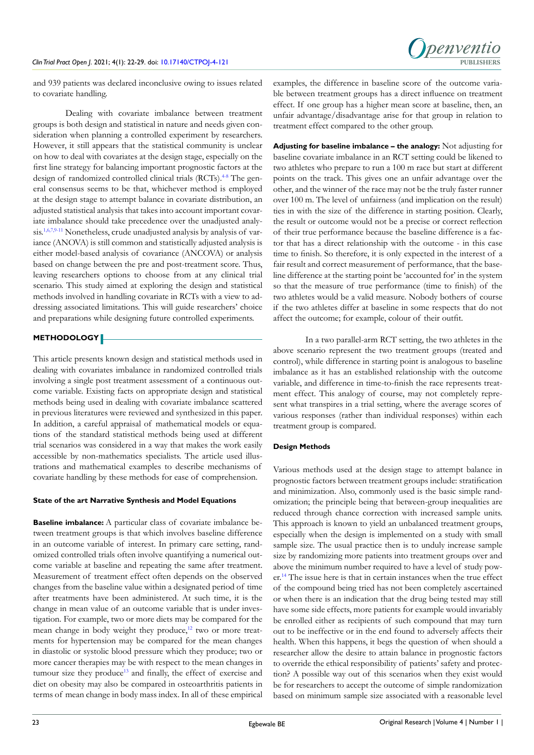

and 939 patients was declared inconclusive owing to issues related to covariate handling.

Dealing with covariate imbalance between treatment groups is both design and statistical in nature and needs given consideration when planning a controlled experiment by researchers. However, it still appears that the statistical community is unclear on how to deal with covariates at the design stage, especially on the first line strategy for balancing important prognostic factors at the design of randomized controlled clinical trials (RCTs).<sup>4-8</sup> The general consensus seems to be that, whichever method is employed at the design stage to attempt balance in covariate distribution, an adjusted statistical analysis that takes into account important covariate imbalance should take precedence over the unadjusted analysis[.1,](#page-5-0)[6,7,](#page-6-2)[9-11](#page-6-3) Nonetheless, crude unadjusted analysis by analysis of variance (ANOVA) is still common and statistically adjusted analysis is either model-based analysis of covariance (ANCOVA) or analysis based on change between the pre and post-treatment score. Thus, leaving researchers options to choose from at any clinical trial scenario. This study aimed at exploring the design and statistical methods involved in handling covariate in RCTs with a view to addressing associated limitations. This will guide researchers' choice and preparations while designing future controlled experiments.

# **METHODOLOGY**

This article presents known design and statistical methods used in dealing with covariates imbalance in randomized controlled trials involving a single post treatment assessment of a continuous outcome variable. Existing facts on appropriate design and statistical methods being used in dealing with covariate imbalance scattered in previous literatures were reviewed and synthesized in this paper. In addition, a careful appraisal of mathematical models or equations of the standard statistical methods being used at different trial scenarios was considered in a way that makes the work easily accessible by non-mathematics specialists. The article used illustrations and mathematical examples to describe mechanisms of covariate handling by these methods for ease of comprehension.

## **State of the art Narrative Synthesis and Model Equations**

**Baseline imbalance:** A particular class of covariate imbalance between treatment groups is that which involves baseline difference in an outcome variable of interest. In primary care setting, randomized controlled trials often involve quantifying a numerical outcome variable at baseline and repeating the same after treatment. Measurement of treatment effect often depends on the observed changes from the baseline value within a designated period of time after treatments have been administered. At such time, it is the change in mean value of an outcome variable that is under investigation. For example, two or more diets may be compared for the mean change in body weight they produce,<sup>12</sup> two or more treatments for hypertension may be compared for the mean changes in diastolic or systolic blood pressure which they produce; two or more cancer therapies may be with respect to the mean changes in tumour size they produce<sup>[13](#page-6-5)</sup> and finally, the effect of exercise and diet on obesity may also be compared in osteoarthritis patients in terms of mean change in body mass index. In all of these empirical examples, the difference in baseline score of the outcome variable between treatment groups has a direct influence on treatment effect. If one group has a higher mean score at baseline, then, an unfair advantage/disadvantage arise for that group in relation to treatment effect compared to the other group.

**Adjusting for baseline imbalance – the analogy:** Not adjusting for baseline covariate imbalance in an RCT setting could be likened to two athletes who prepare to run a 100 m race but start at different points on the track. This gives one an unfair advantage over the other, and the winner of the race may not be the truly faster runner over 100 m. The level of unfairness (and implication on the result) ties in with the size of the difference in starting position. Clearly, the result or outcome would not be a precise or correct reflection of their true performance because the baseline difference is a factor that has a direct relationship with the outcome - in this case time to finish. So therefore, it is only expected in the interest of a fair result and correct measurement of performance, that the baseline difference at the starting point be 'accounted for' in the system so that the measure of true performance (time to finish) of the two athletes would be a valid measure. Nobody bothers of course if the two athletes differ at baseline in some respects that do not affect the outcome; for example, colour of their outfit.

In a two parallel-arm RCT setting, the two athletes in the above scenario represent the two treatment groups (treated and control), while difference in starting point is analogous to baseline imbalance as it has an established relationship with the outcome variable, and difference in time-to-finish the race represents treatment effect. This analogy of course, may not completely represent what transpires in a trial setting, where the average scores of various responses (rather than individual responses) within each treatment group is compared.

# **Design Methods**

Various methods used at the design stage to attempt balance in prognostic factors between treatment groups include: stratification and minimization. Also, commonly used is the basic simple randomization; the principle being that between-group inequalities are reduced through chance correction with increased sample units. This approach is known to yield an unbalanced treatment groups, especially when the design is implemented on a study with small sample size. The usual practice then is to unduly increase sample size by randomizing more patients into treatment groups over and above the minimum number required to have a level of study power.[14](#page-6-6) The issue here is that in certain instances when the true effect of the compound being tried has not been completely ascertained or when there is an indication that the drug being tested may still have some side effects, more patients for example would invariably be enrolled either as recipients of such compound that may turn out to be ineffective or in the end found to adversely affects their health. When this happens, it begs the question of when should a researcher allow the desire to attain balance in prognostic factors to override the ethical responsibility of patients' safety and protection? A possible way out of this scenarios when they exist would be for researchers to accept the outcome of simple randomization based on minimum sample size associated with a reasonable level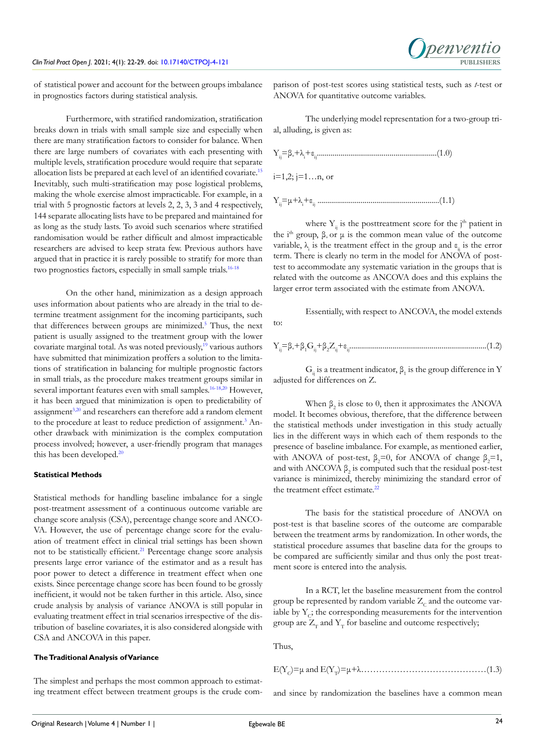of statistical power and account for the between groups imbalance in prognostics factors during statistical analysis.

Furthermore, with stratified randomization, stratification breaks down in trials with small sample size and especially when there are many stratification factors to consider for balance. When there are large numbers of covariates with each presenting with multiple levels, stratification procedure would require that separate allocation lists be prepared at each level of an identified covariate.[15](#page-6-7) Inevitably, such multi-stratification may pose logistical problems, making the whole exercise almost impracticable. For example, in a trial with 5 prognostic factors at levels 2, 2, 3, 3 and 4 respectively, 144 separate allocating lists have to be prepared and maintained for as long as the study lasts. To avoid such scenarios where stratified randomisation would be rather difficult and almost impracticable researchers are advised to keep strata few. Previous authors have argued that in practice it is rarely possible to stratify for more than two prognostics factors, especially in small sample trials.[16-18](#page-6-8)

On the other hand, minimization as a design approach uses information about patients who are already in the trial to determine treatment assignment for the incoming participants, such that differences between groups are minimized.<sup>[5](#page-6-9)</sup> Thus, the next patient is usually assigned to the treatment group with the lower covariate marginal total. As was noted previously,<sup>19</sup> various authors have submitted that minimization proffers a solution to the limitations of stratification in balancing for multiple prognostic factors in small trials, as the procedure makes treatment groups similar in several important features even with small samples.<sup>[16-18,](#page-6-8)[20](#page-6-11)</sup> However, it has been argued that minimization is open to predictability of assignment<sup>[3,](#page-6-0)[20](#page-6-11)</sup> and researchers can therefore add a random element to the procedure at least to reduce prediction of assignment.<sup>3</sup> Another drawback with minimization is the complex computation process involved; however, a user-friendly program that manages this has been developed.<sup>20</sup>

## **Statistical Methods**

Statistical methods for handling baseline imbalance for a single post-treatment assessment of a continuous outcome variable are change score analysis (CSA), percentage change score and ANCO-VA. However, the use of percentage change score for the evaluation of treatment effect in clinical trial settings has been shown not to be statistically efficient.<sup>[21](#page-6-12)</sup> Percentage change score analysis presents large error variance of the estimator and as a result has poor power to detect a difference in treatment effect when one exists. Since percentage change score has been found to be grossly inefficient, it would not be taken further in this article. Also, since crude analysis by analysis of variance ANOVA is still popular in evaluating treatment effect in trial scenarios irrespective of the distribution of baseline covariates, it is also considered alongside with CSA and ANCOVA in this paper.

#### **The Traditional Analysis of Variance**

The simplest and perhaps the most common approach to estimating treatment effect between treatment groups is the crude comparison of post-test scores using statistical tests, such as *t*-test or ANOVA for quantitative outcome variables.

The underlying model representation for a two-group trial, alluding, is given as:



where  $Y_{ij}$  is the posttreatment score for the j<sup>th</sup> patient in the i<sup>th</sup> group, β or μ is the common mean value of the outcome variable,  $\lambda_i$  is the treatment effect in the group and  $\varepsilon_{ij}$  is the error term. There is clearly no term in the model for ANOVA of posttest to accommodate any systematic variation in the groups that is related with the outcome as ANCOVA does and this explains the larger error term associated with the estimate from ANOVA.

Essentially, with respect to ANCOVA, the model extends to:

Yij =β° +β<sup>1</sup> Gij +β<sup>2</sup> Zij +εij ......................................................................(1.2)

 $G_{ij}$  is a treatment indicator,  $\beta_1$  is the group difference in Y adjusted for differences on Z.

When  $\beta_2$  is close to 0, then it approximates the ANOVA model. It becomes obvious, therefore, that the difference between the statistical methods under investigation in this study actually lies in the different ways in which each of them responds to the presence of baseline imbalance. For example, as mentioned earlier, with ANOVA of post-test,  $\beta_2=0$ , for ANOVA of change  $\beta_2=1$ , and with ANCOVA  $\beta_2$  is computed such that the residual post-test variance is minimized, thereby minimizing the standard error of the treatment effect estimate.<sup>22</sup>

The basis for the statistical procedure of ANOVA on post-test is that baseline scores of the outcome are comparable between the treatment arms by randomization. In other words, the statistical procedure assumes that baseline data for the groups to be compared are sufficiently similar and thus only the post treatment score is entered into the analysis.

In a RCT, let the baseline measurement from the control group be represented by random variable  $Z_c$  and the outcome variable by  $Y_c$ ; the corresponding measurements for the intervention group are  $Z_{\tau}$  and  $Y_{\tau}$  for baseline and outcome respectively;

Thus,

E(YC)=μ and E(YT)=μ+λ……………………………………(1.3)

and since by randomization the baselines have a common mean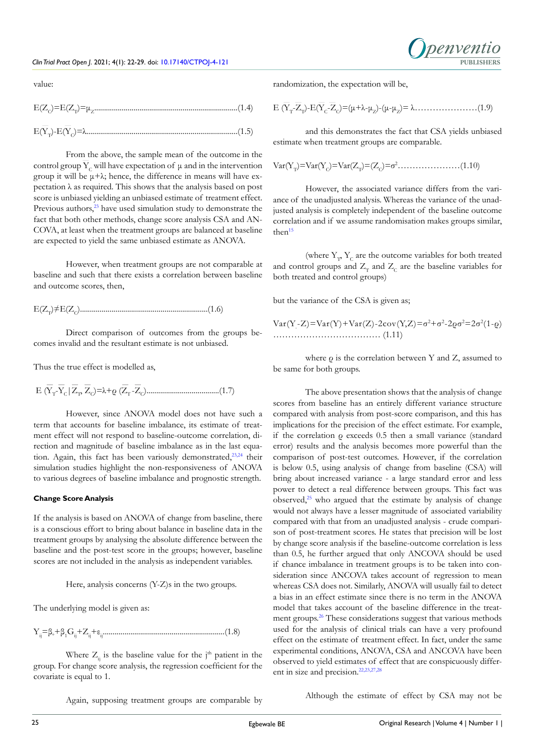

value:

$$
E(Z_C) = E(Z_T) = \mu_Z
$$
\n(1.4)\n
$$
E(\overline{Y}_T) - E(\overline{Y}_C) = \lambda
$$
\n(1.5)

From the above, the sample mean of the outcome in the control group  $\overline{Y}_c$  will have expectation of  $\mu$  and in the intervention group it will be  $\mu + \lambda$ ; hence, the difference in means will have expectation  $\lambda$  as required. This shows that the analysis based on post score is unbiased yielding an unbiased estimate of treatment effect. Previous authors,<sup>[23](#page-6-14)</sup> have used simulation study to demonstrate the fact that both other methods, change score analysis CSA and AN-COVA, at least when the treatment groups are balanced at baseline are expected to yield the same unbiased estimate as ANOVA.

However, when treatment groups are not comparable at baseline and such that there exists a correlation between baseline and outcome scores, then,

E(ZT)≠E(ZC).................................................................(1.6)

Direct comparison of outcomes from the groups becomes invalid and the resultant estimate is not unbiased.

Thus the true effect is modelled as,

$$
\mathrm{E}\;(\overline{Y}_{T}\text{-}\overline{Y}_{C}\,|\,\overline{Z}_{1},\,\overline{Z}_{C})\text{=}\lambda\text{+} \varrho\;(\overline{Z}_{T}\text{-}\overline{Z}_{C})\text{........}{\dots}\text{........} \tag{1.7}
$$

However, since ANOVA model does not have such a term that accounts for baseline imbalance, its estimate of treatment effect will not respond to baseline-outcome correlation, direction and magnitude of baseline imbalance as in the last equation. Again, this fact has been variously demonstrated,<sup>23,24</sup> their simulation studies highlight the non-responsiveness of ANOVA to various degrees of baseline imbalance and prognostic strength.

# **Change Score Analysis**

If the analysis is based on ANOVA of change from baseline, there is a conscious effort to bring about balance in baseline data in the treatment groups by analysing the absolute difference between the baseline and the post-test score in the groups; however, baseline scores are not included in the analysis as independent variables.

Here, analysis concerns (Y-Z)s in the two groups.

The underlying model is given as:

Yij =β° +β<sup>1</sup> Gij +Z<sup>ij</sup> +εij ..............................................................(1.8)

Where  $Z_{ij}$  is the baseline value for the j<sup>th</sup> patient in the group. For change score analysis, the regression coefficient for the covariate is equal to 1.

randomization, the expectation will be,

E (YT -ZT)-E(YC-ZC)=(μ+λ-μZ)-(μ-μZ)= λ…………………(1.9)

and this demonstrates the fact that CSA yields unbiased estimate when treatment groups are comparable.

$$
Var(Y_T) = Var(Y_C) = Var(Z_T) = (Z_C) = \sigma^2 \dots \dots \dots \dots \dots (1.10)
$$

However, the associated variance differs from the variance of the unadjusted analysis. Whereas the variance of the unadjusted analysis is completely independent of the baseline outcome correlation and if we assume randomisation makes groups similar, then $15$ 

(where  $\mathbf{Y}_\text{p},\mathbf{Y}_\text{C}$  are the outcome variables for both treated and control groups and  $Z_T$  and  $Z_C$  are the baseline variables for both treated and control groups)

but the variance of the CSA is given as;

Var(Y - Z)=Var(Y)+Var(Z)-2cov(Y,Z)=
$$
\sigma^2
$$
+ $\sigma^2$ -2 $\rho\sigma^2$ =2 $\sigma^2$ (1-q)  
.................(1.11)

where ρ is the correlation between Y and Z, assumed to be same for both groups.

The above presentation shows that the analysis of change scores from baseline has an entirely different variance structure compared with analysis from post-score comparison, and this has implications for the precision of the effect estimate. For example, if the correlation ρ exceeds 0.5 then a small variance (standard error) results and the analysis becomes more powerful than the comparison of post-test outcomes. However, if the correlation is below 0.5, using analysis of change from baseline (CSA) will bring about increased variance - a large standard error and less power to detect a real difference between groups. This fact was observed, $25$  who argued that the estimate by analysis of change would not always have a lesser magnitude of associated variability compared with that from an unadjusted analysis - crude comparison of post-treatment scores. He states that precision will be lost by change score analysis if the baseline-outcome correlation is less than 0.5, he further argued that only ANCOVA should be used if chance imbalance in treatment groups is to be taken into consideration since ANCOVA takes account of regression to mean whereas CSA does not. Similarly, ANOVA will usually fail to detect a bias in an effect estimate since there is no term in the ANOVA model that takes account of the baseline difference in the treatment groups[.26](#page-6-16) These considerations suggest that various methods used for the analysis of clinical trials can have a very profound effect on the estimate of treatment effect. In fact, under the same experimental conditions, ANOVA, CSA and ANCOVA have been observed to yield estimates of effect that are conspicuously different in size and precision[.22,23,](#page-6-13)[27,28](#page-6-17)

Again, supposing treatment groups are comparable by

Although the estimate of effect by CSA may not be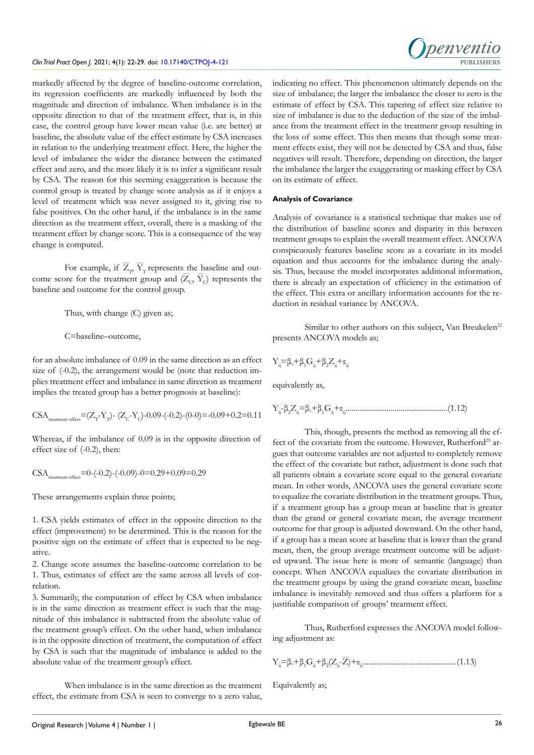

markedly affected by the degree of baseline-outcome correlation, its regression coefficients are markedly influenced by both the magnitude and direction of imbalance. When imbalance is in the opposite direction to that of the treatment effect, that is, in this case, the control group have lower mean value (i.e. are better) at baseline, the absolute value of the effect estimate by CSA increases in relation to the underlying treatment effect. Here, the higher the level of imbalance the wider the distance between the estimated effect and zero, and the more likely it is to infer a significant result by CSA. The reason for this seeming exaggeration is because the control group is treated by change score analysis as if it enjoys a level of treatment which was never assigned to it, giving rise to false positives. On the other hand, if the imbalance is in the same direction as the treatment effect, overall, there is a masking of the treatment effect by change score. This is a consequence of the way change is computed.

For example, if  $Z_p$ ,  $Y_T$  represents the baseline and outcome score for the treatment group and  $(\overline{Z}_c, \overline{Y}_c)$  represents the baseline and outcome for the control group.

Thus, with change (C) given as;

C=baseline–outcome,

for an absolute imbalance of 0.09 in the same direction as an effect size of (-0.2), the arrangement would be (note that reduction implies treatment effect and imbalance in same direction as treatment implies the treated group has a better prognosis at baseline):

$$
\hspace*{2.5mm}\text{CSA}_{\text{treatment effect}}\hspace*{-3mm}=\hspace*{-1mm}(\overline{Z}_{T}\hspace*{-1mm}-\hspace*{-1mm}\overline{Y}_{T}\hspace*{-1mm})\hspace*{-1mm}-\hspace*{-1mm}(\overline{Z}_{C}\hspace*{-1mm}-\hspace*{-1mm}\overline{Y}_{C}\hspace*{-1mm})\hspace*{-0.5mm}-\hspace*{-0.5mm}0.09\hspace*{-1mm}-\hspace*{-0.5mm}(-0.2)\hspace*{-0.5mm}-\hspace*{-0.5mm}(0\hspace*{-0.1mm}-\hspace*{-0.1mm}0) =\hspace*{-0.5mm}-0.09\hspace*{-0.1mm}+\hspace*{-0.1mm}0.2\hspace*{-0.1mm}=\hspace*{-0.1mm}0.11
$$

Whereas, if the imbalance of 0.09 is in the opposite direction of effect size of (-0.2), then:

$$
\text{CSA}_{\text{treatment effect}}{=}0{-}(-0.2){-}(-0.09){-}0{=}0.29{+}0.09{=}0.29
$$

These arrangements explain three points;

1. CSA yields estimates of effect in the opposite direction to the effect (improvement) to be determined. This is the reason for the positive sign on the estimate of effect that is expected to be negative.

2. Change score assumes the baseline-outcome correlation to be 1. Thus, estimates of effect are the same across all levels of correlation.

3. Summarily, the computation of effect by CSA when imbalance is in the same direction as treatment effect is such that the magnitude of this imbalance is subtracted from the absolute value of the treatment group's effect. On the other hand, when imbalance is in the opposite direction of treatment, the computation of effect by CSA is such that the magnitude of imbalance is added to the absolute value of the treatment group's effect.

When imbalance is in the same direction as the treatment effect, the estimate from CSA is seen to converge to a zero value,

indicating no effect. This phenomenon ultimately depends on the size of imbalance; the larger the imbalance the closer to zero is the estimate of effect by CSA. This tapering of effect size relative to size of imbalance is due to the deduction of the size of the imbalance from the treatment effect in the treatment group resulting in the loss of some effect. This then means that though some treatment effects exist, they will not be detected by CSA and thus, false negatives will result. Therefore, depending on direction, the larger the imbalance the larger the exaggerating or masking effect by CSA on its estimate of effect.

## **Analysis of Covariance**

Analysis of covariance is a statistical technique that makes use of the distribution of baseline scores and disparity in this between treatment groups to explain the overall treatment effect. ANCOVA conspicuously features baseline score as a covariate in its model equation and thus accounts for the imbalance during the analysis. Thus, because the model incorporates additional information, there is already an expectation of efficiency in the estimation of the effect. This extra or ancillary information accounts for the reduction in residual variance by ANCOVA.

Similar to other authors on this subject, Van Breukelen<sup>22</sup> presents ANCOVA models as;

$$
Y_{_{ij}}\!\!\equiv\!\!\beta_{\circ}\!\!+\!\beta_{1}G_{_{ij}}\!\!+\!\beta_{2}Z_{_{ij}}\!\!+\!\epsilon_{_{ij}}
$$

equivalently as,

Yij -β2 Zij =β° +β<sup>1</sup> Gij +εij ....................................................(1.12)

This, though, presents the method as removing all the ef-fect of the covariate from the outcome. However, Rutherford<sup>[29](#page-7-0)</sup> argues that outcome variables are not adjusted to completely remove the effect of the covariate but rather, adjustment is done such that all patients obtain a covariate score equal to the general covariate mean. In other words, ANCOVA uses the general covariate score to equalize the covariate distribution in the treatment groups. Thus, if a treatment group has a group mean at baseline that is greater than the grand or general covariate mean, the average treatment outcome for that group is adjusted downward. On the other hand, if a group has a mean score at baseline that is lower than the grand mean, then, the group average treatment outcome will be adjusted upward. The issue here is more of semantic (language) than concept. When ANCOVA equalizes the covariate distribution in the treatment groups by using the grand covariate mean, baseline imbalance is inevitably removed and thus offers a platform for a justifiable comparison of groups' treatment effect.

Thus, Rutherford expresses the ANCOVA model following adjustment as:

$$
Y_{ij}\!\!=\!\!\beta_{\circ}\!\!+\!\beta_{1}G_{ij}\!\!+\!\beta_{2}(Z_{ij}\!\!-\!\!\overline{Z})\!+\!\epsilon_{ij}\!\!-\!\!\textrm{........}\textrm{........}\textrm{........}\textrm{........}\textrm{........}\textrm{........}\textrm{........} \left(1.13\right)
$$

Equivalently as;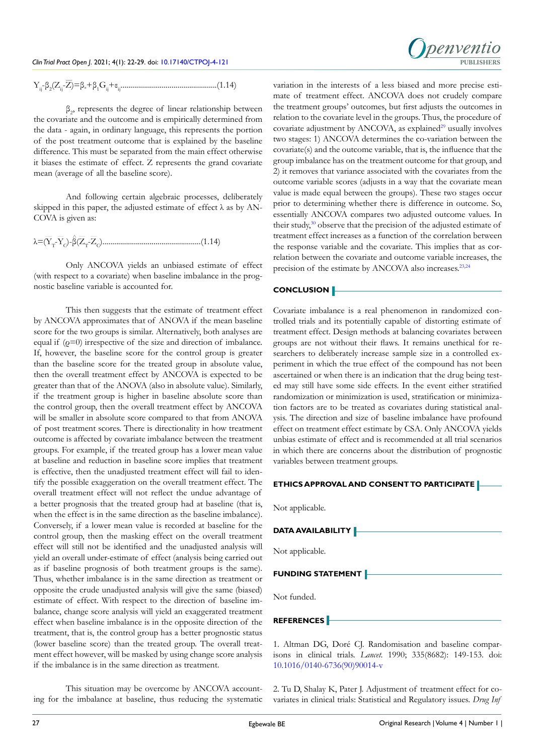$$
Y_{_{ij}}\hskip-1pt\hskip-1pt\hskip-1pt\hskip-1pt\hskip-1pt\hskip-1pt\hskip-1pt\hskip-1pt\hskip-1pt}=\beta_{_{\circ}}\hskip-1pt+\beta_{_{1}}\hskip-1pt G_{_{ij}}\hskip-1pt\hskip-1pt+\hskip-1pt\varepsilon_{_{ij}}\hskip-1pt\hskip-1pt\hskip-1pt\hskip-1pt\hskip-1pt\hskip-1pt\hskip-1pt\hskip-1pt}\hskip-1pt\hskip-1pt\hskip-1pt\hskip-1pt\hskip-1pt\hskip-1pt\hskip-1pt\hskip-1pt\hskip-1pt\hskip-1pt\hskip-1pt} (1.14)
$$

 $\beta_2$ , represents the degree of linear relationship between the covariate and the outcome and is empirically determined from the data - again, in ordinary language, this represents the portion of the post treatment outcome that is explained by the baseline difference. This must be separated from the main effect otherwise it biases the estimate of effect.  $\overline{Z}$  represents the grand covariate mean (average of all the baseline score).

And following certain algebraic processes, deliberately skipped in this paper, the adjusted estimate of effect  $\lambda$  as by AN-COVA is given as:

λ=(Y<sup>T</sup> -YC)-β(Z<sup>T</sup> -ZC)..................................................(1.14)

Only ANCOVA yields an unbiased estimate of effect (with respect to a covariate) when baseline imbalance in the prognostic baseline variable is accounted for.

This then suggests that the estimate of treatment effect by ANCOVA approximates that of ANOVA if the mean baseline score for the two groups is similar. Alternatively, both analyses are equal if  $(\rho=0)$  irrespective of the size and direction of imbalance. If, however, the baseline score for the control group is greater than the baseline score for the treated group in absolute value, then the overall treatment effect by ANCOVA is expected to be greater than that of the ANOVA (also in absolute value). Similarly, if the treatment group is higher in baseline absolute score than the control group, then the overall treatment effect by ANCOVA will be smaller in absolute score compared to that from ANOVA of post treatment scores. There is directionality in how treatment outcome is affected by covariate imbalance between the treatment groups. For example, if the treated group has a lower mean value at baseline and reduction in baseline score implies that treatment is effective, then the unadjusted treatment effect will fail to identify the possible exaggeration on the overall treatment effect. The overall treatment effect will not reflect the undue advantage of a better prognosis that the treated group had at baseline (that is, when the effect is in the same direction as the baseline imbalance). Conversely, if a lower mean value is recorded at baseline for the control group, then the masking effect on the overall treatment effect will still not be identified and the unadjusted analysis will yield an overall under-estimate of effect (analysis being carried out as if baseline prognosis of both treatment groups is the same). Thus, whether imbalance is in the same direction as treatment or opposite the crude unadjusted analysis will give the same (biased) estimate of effect. With respect to the direction of baseline imbalance, change score analysis will yield an exaggerated treatment effect when baseline imbalance is in the opposite direction of the treatment, that is, the control group has a better prognostic status (lower baseline score) than the treated group. The overall treatment effect however, will be masked by using change score analysis if the imbalance is in the same direction as treatment.

This situation may be overcome by ANCOVA accounting for the imbalance at baseline, thus reducing the systematic



variation in the interests of a less biased and more precise estimate of treatment effect. ANCOVA does not crudely compare the treatment groups' outcomes, but first adjusts the outcomes in relation to the covariate level in the groups. Thus, the procedure of covariate adjustment by ANCOVA, as explained<sup>29</sup> usually involves two stages: 1) ANCOVA determines the co-variation between the covariate(s) and the outcome variable, that is, the influence that the group imbalance has on the treatment outcome for that group, and 2) it removes that variance associated with the covariates from the outcome variable scores (adjusts in a way that the covariate mean value is made equal between the groups). These two stages occur prior to determining whether there is difference in outcome. So, essentially ANCOVA compares two adjusted outcome values. In their study,<sup>[30](#page-7-1)</sup> observe that the precision of the adjusted estimate of treatment effect increases as a function of the correlation between the response variable and the covariate. This implies that as correlation between the covariate and outcome variable increases, the precision of the estimate by ANCOVA also increases.<sup>23,24</sup>

# **CONCLUSION**

Covariate imbalance is a real phenomenon in randomized controlled trials and its potentially capable of distorting estimate of treatment effect. Design methods at balancing covariates between groups are not without their flaws. It remains unethical for researchers to deliberately increase sample size in a controlled experiment in which the true effect of the compound has not been ascertained or when there is an indication that the drug being tested may still have some side effects. In the event either stratified randomization or minimization is used, stratification or minimization factors are to be treated as covariates during statistical analysis. The direction and size of baseline imbalance have profound effect on treatment effect estimate by CSA. Only ANCOVA yields unbias estimate of effect and is recommended at all trial scenarios in which there are concerns about the distribution of prognostic variables between treatment groups.

| <b>ETHICS APPROVAL AND CONSENT TO PARTICIPATE</b>                                                                                                             |
|---------------------------------------------------------------------------------------------------------------------------------------------------------------|
| Not applicable.                                                                                                                                               |
| <b>DATA AVAILABILITY</b>                                                                                                                                      |
| Not applicable.                                                                                                                                               |
| <b>FUNDING STATEMENT</b>                                                                                                                                      |
| Not funded.                                                                                                                                                   |
| <b>REFERENCES</b>                                                                                                                                             |
| 1. Altman DG, Doré CJ. Randomisation and baseline compar-<br>isons in clinical trials. Lancet. 1990; 335(8682): 149-153. doi:<br>10.1016/0140-6736(90)90014-v |

<span id="page-5-0"></span>2. Tu D, Shalay K, Pater J. Adjustment of treatment effect for covariates in clinical trials: Statistical and Regulatory issues. *Drug Inf*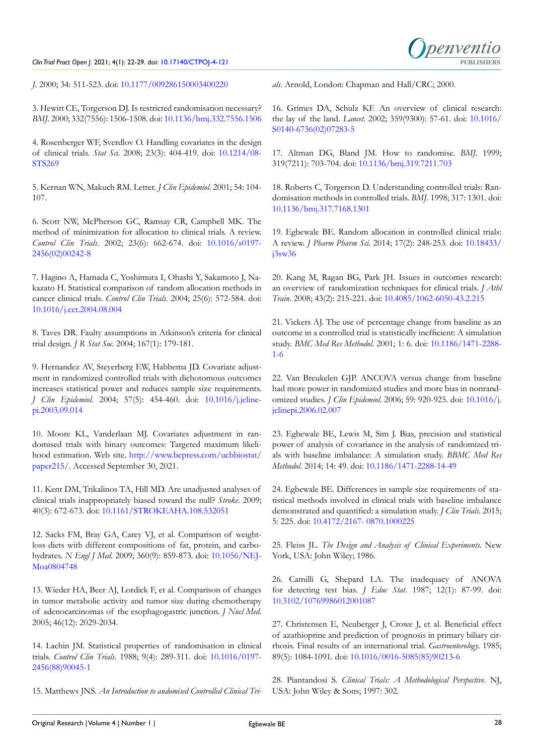## *Clin Trial Pract Open J*. 2021; 4(1): 22-29. doi: [10.17140/CTPOJ-4-121](http://dx.doi.org/10.17140/CTPOJ-4-121) **PUBLISHERS**



*J*. 2000; 34: 511-523. doi: [10.1177/009286150003400220](http://doi.org/10.1177/009286150003400220)

<span id="page-6-0"></span>3. Hewitt CE, Torgerson DJ. Is restricted randomisation necessary? *BMJ*. 2000; 332(7556): 1506-1508. doi: [10.1136/bmj.332.7556.1506](http://doi.org/10.1136/bmj.332.7556.1506)

<span id="page-6-1"></span>4. Rosenberger WF, Sverdlov O. Handling covariates in the design of clinical trials. *Stat Sci.* 2008; 23(3): 404-419. doi: [10.1214/08-](http://doi.org/10.1214/08-STS269) [STS269](http://doi.org/10.1214/08-STS269)

<span id="page-6-9"></span>5. Kernan WN, Makuch RM. Letter. *J Clin Epidemiol*. 2001; 54: 104- 107.

<span id="page-6-2"></span>6. Scott NW, McPherson GC, Ramsay CR, Campbell MK. The method of minimization for allocation to clinical trials. A review. *Control Clin Trials*. 2002; 23(6): 662-674. doi: [10.1016/s0197-](http://doi.org/10.1016/s0197-2456(02)00242-8) [2456\(02\)00242-8](http://doi.org/10.1016/s0197-2456(02)00242-8)

7. Hagino A, Hamada C, Yoshimura I, Ohashi Y, Sakamoto J, Nakazato H. Statistical comparison of random allocation methods in cancer clinical trials. *Control Clin Trials*. 2004; 25(6): 572-584. doi: [10.1016/j.cct.2004.08.004](http://doi.org/10.1016/j.cct.2004.08.004)

8. Taves DR. Faulty assumptions in Atkinson's criteria for clinical trial design. *J R Stat Soc.* 2004; 167(1): 179-181.

<span id="page-6-3"></span>9. Hernandez AV, Steyerberg EW, Habbema JD. Covariate adjustment in randomized controlled trials with dichotomous outcomes increases statistical power and reduces sample size requirements. *J Clin Epidemiol*. 2004; 57(5): 454-460. doi: [10.1016/j.jcline](http://doi.org/10.1016/j.jclinepi.2003.09.014)[pi.2003.09.014](http://doi.org/10.1016/j.jclinepi.2003.09.014)

10. Moore KL, Vanderlaan MJ. Covariates adjustment in randomised trials with binary outcomes: Targeted maximum likelihood estimation. Web site. [http://www.bepress.com/ucbbiostat/](http://www.bepress.com/ucbbiostat/paper215/) [paper215/.](http://www.bepress.com/ucbbiostat/paper215/) Accessed September 30, 2021.

11. Kent DM, Trikalinos TA, Hill MD. Are unadjusted analyses of clinical trials inappropriately biased toward the null? *Stroke*. 2009; 40(3): 672-673. doi: [10.1161/STROKEAHA.108.532051](http://doi.org/10.1161/STROKEAHA.108.532051)

<span id="page-6-4"></span>12. Sacks FM, Bray GA, Carey VJ, et al. Comparison of weightloss diets with different compositions of fat, protein, and carbohydrates. *N Engl J Med*. 2009; 360(9): 859-873. doi: [10.1056/NEJ-](http://doi.org/10.1056/NEJMoa0804748)[Moa0804748](http://doi.org/10.1056/NEJMoa0804748)

<span id="page-6-5"></span>13. Wieder HA, Beer AJ, Lordick F, et al. Comparison of changes in tumor metabolic activity and tumor size during chemotherapy of adenocarcinomas of the esophagogastric junction. *J Nucl Med*. 2005; 46(12): 2029-2034.

<span id="page-6-6"></span>14. Lachin JM. Statistical properties of randomisation in clinical trials. *Control Clin Trials*. 1988; 9(4): 289-311. doi: [10.1016/0197-](http://doi.org/10.1016/0197-2456(88)90045-1) [2456\(88\)90045-1](http://doi.org/10.1016/0197-2456(88)90045-1)

<span id="page-6-7"></span>15. Matthews JNS. *An Introduction to andomised Controlled Clinical Tri-*

*als*. Arnold, London: Chapman and Hall/CRC; 2000.

<span id="page-6-8"></span>16. Grimes DA, Schulz KF. An overview of clinical research: the lay of the land. *Lancet*. 2002; 359(9300): 57-61. doi: [10.1016/](http://doi.org/10.1016/S0140-6736(02)07283-5) [S0140-6736\(02\)07283-5](http://doi.org/10.1016/S0140-6736(02)07283-5)

17. Altman DG, Bland JM. How to randomise. *BMJ*. 1999; 319(7211): 703-704. doi: [10.1136/bmj.319.7211.703](http://doi.org/10.1136/bmj.319.7211.703)

18. Roberts C, Torgerson D. Understanding controlled trials: Randomisation methods in controlled trials. *BMJ*. 1998; 317: 1301. doi: [10.1136/bmj.317.7168.1301](http://doi.org/10.1136/bmj.317.7168.1301)

<span id="page-6-10"></span>19. Egbewale BE. Random allocation in controlled clinical trials: A review. *J Pharm Pharm Sci.* 2014; 17(2): 248-253. doi: [10.18433/](http://doi.org/10.18433/j3sw36) [j3sw36](http://doi.org/10.18433/j3sw36)

<span id="page-6-11"></span>20. Kang M, Ragan BG, Park JH. Issues in outcomes research: an overview of randomization techniques for clinical trials. *J Athl Train*. 2008; 43(2): 215-221. doi: [10.4085/1062-6050-43.2.215](http://doi.org/10.4085/1062-6050-43.2.215)

<span id="page-6-12"></span>21. Vickers AJ. The use of percentage change from baseline as an outcome in a controlled trial is statistically inefficient: A simulation study. *BMC Med Res Methodol*. 2001; 1: 6. doi: [10.1186/1471-2288-](http://doi.org/10.1186/1471-2288-1-6) [1-6](http://doi.org/10.1186/1471-2288-1-6)

<span id="page-6-13"></span>22. Van Breukelen GJP. ANCOVA versus change from baseline had more power in randomized studies and more bias in nonrandomized studies. *J Clin Epidemiol*. 2006; 59: 920-925. doi: [10.1016/j.](http://doi.org/10.1016/j.jclinepi.2006.02.007) [jclinepi.2006.02.007](http://doi.org/10.1016/j.jclinepi.2006.02.007)

<span id="page-6-14"></span>23. Egbewale BE, Lewis M, Sim J. Bias, precision and statistical power of analysis of covariance in the analysis of randomized trials with baseline imbalance: A simulation study. *BBMC Med Res Methodol*. 2014; 14: 49. doi: [10.1186/1471-2288-14-49](http://doi.org/10.1186/1471-2288-14-49)

24. Egbewale BE. Differences in sample size requirements of statistical methods involved in clinical trials with baseline imbalance demonstrated and quantified: a simulation study. *J Clin Trials.* 2015; 5: 225. doi: [10.4172/2167- 0870.1000225](http://doi.org/10.4172/2167- 0870.1000225)

<span id="page-6-15"></span>25. Fleiss JL. *The Design and Analysis of Clinical Experiments*. New York, USA: John Wiley; 1986.

<span id="page-6-16"></span>26. Camilli G, Shepard LA. The inadequacy of ANOVA for detecting test bias. *J Educ Stat*. 1987; 12(1): 87-99. doi: [10.3102/10769986012001087](http://doi.org/10.3102/10769986012001087)

<span id="page-6-17"></span>27. Christensen E, Neuberger J, Crowe J, et al. Beneficial effect of azathioprine and prediction of prognosis in primary biliary cirrhosis. Final results of an international trial. *Gastroenterology*. 1985; 89(5): 1084-1091. doi: [10.1016/0016-5085\(85\)90213-6](http://doi.org/10.1016/0016-5085(85)90213-6)

28. Piantandosi S. *Clinical Trials: A Methodological Perspective*. NJ, USA: John Wiley & Sons; 1997: 302.